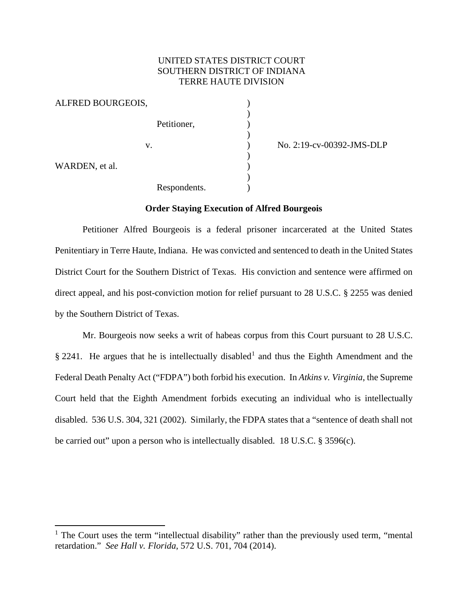# UNITED STATES DISTRICT COURT SOUTHERN DISTRICT OF INDIANA TERRE HAUTE DIVISION

)

)

)

)

| ALFRED BOURGEOIS, |              |  |
|-------------------|--------------|--|
|                   | Petitioner,  |  |
| V.                |              |  |
| WARDEN, et al.    |              |  |
|                   | Respondents. |  |

) No. 2:19-cv-00392-JMS-DLP

### **Order Staying Execution of Alfred Bourgeois**

Petitioner Alfred Bourgeois is a federal prisoner incarcerated at the United States Penitentiary in Terre Haute, Indiana. He was convicted and sentenced to death in the United States District Court for the Southern District of Texas. His conviction and sentence were affirmed on direct appeal, and his post-conviction motion for relief pursuant to 28 U.S.C. § 2255 was denied by the Southern District of Texas.

Mr. Bourgeois now seeks a writ of habeas corpus from this Court pursuant to 28 U.S.C. § 224[1](#page-0-0). He argues that he is intellectually disabled<sup>1</sup> and thus the Eighth Amendment and the Federal Death Penalty Act ("FDPA") both forbid his execution. In *Atkins v. Virginia*, the Supreme Court held that the Eighth Amendment forbids executing an individual who is intellectually disabled. 536 U.S. 304, 321 (2002). Similarly, the FDPA states that a "sentence of death shall not be carried out" upon a person who is intellectually disabled. 18 U.S.C. § 3596(c).

<span id="page-0-0"></span><sup>&</sup>lt;sup>1</sup> The Court uses the term "intellectual disability" rather than the previously used term, "mental" retardation." *See Hall v. Florida*, 572 U.S. 701, 704 (2014).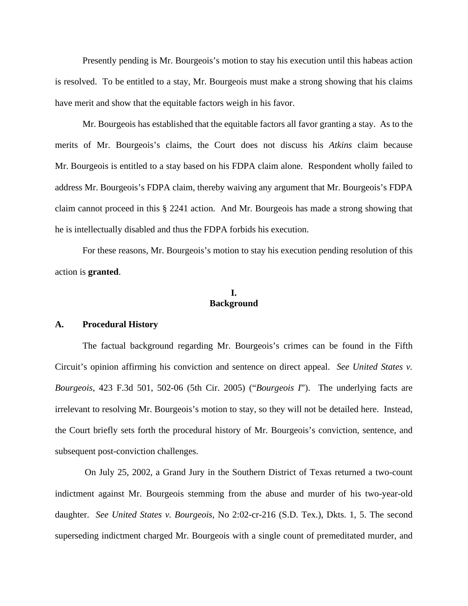Presently pending is Mr. Bourgeois's motion to stay his execution until this habeas action is resolved. To be entitled to a stay, Mr. Bourgeois must make a strong showing that his claims have merit and show that the equitable factors weigh in his favor.

Mr. Bourgeois has established that the equitable factors all favor granting a stay. As to the merits of Mr. Bourgeois's claims, the Court does not discuss his *Atkins* claim because Mr. Bourgeois is entitled to a stay based on his FDPA claim alone. Respondent wholly failed to address Mr. Bourgeois's FDPA claim, thereby waiving any argument that Mr. Bourgeois's FDPA claim cannot proceed in this § 2241 action. And Mr. Bourgeois has made a strong showing that he is intellectually disabled and thus the FDPA forbids his execution.

For these reasons, Mr. Bourgeois's motion to stay his execution pending resolution of this action is **granted**.

## **I. Background**

### **A. Procedural History**

The factual background regarding Mr. Bourgeois's crimes can be found in the Fifth Circuit's opinion affirming his conviction and sentence on direct appeal. *See United States v. Bourgeois*, 423 F.3d 501, 502-06 (5th Cir. 2005) ("*Bourgeois I*"). The underlying facts are irrelevant to resolving Mr. Bourgeois's motion to stay, so they will not be detailed here. Instead, the Court briefly sets forth the procedural history of Mr. Bourgeois's conviction, sentence, and subsequent post-conviction challenges.

On July 25, 2002, a Grand Jury in the Southern District of Texas returned a two-count indictment against Mr. Bourgeois stemming from the abuse and murder of his two-year-old daughter. *See United States v. Bourgeois*, No 2:02-cr-216 (S.D. Tex.), Dkts. 1, 5. The second superseding indictment charged Mr. Bourgeois with a single count of premeditated murder, and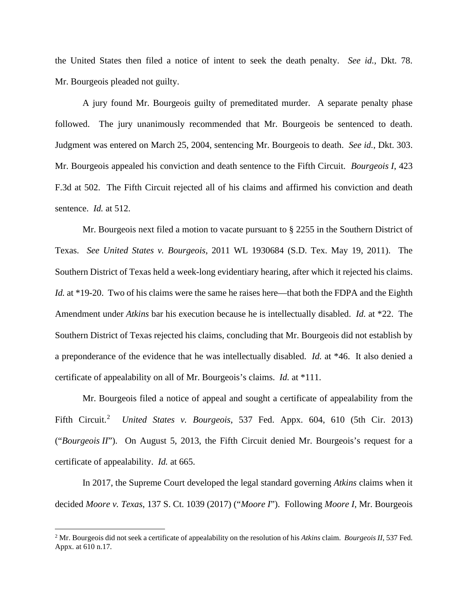the United States then filed a notice of intent to seek the death penalty. *See id.*, Dkt. 78. Mr. Bourgeois pleaded not guilty.

A jury found Mr. Bourgeois guilty of premeditated murder. A separate penalty phase followed. The jury unanimously recommended that Mr. Bourgeois be sentenced to death. Judgment was entered on March 25, 2004, sentencing Mr. Bourgeois to death. *See id.*, Dkt. 303. Mr. Bourgeois appealed his conviction and death sentence to the Fifth Circuit. *Bourgeois I*, 423 F.3d at 502. The Fifth Circuit rejected all of his claims and affirmed his conviction and death sentence. *Id.* at 512.

Mr. Bourgeois next filed a motion to vacate pursuant to § 2255 in the Southern District of Texas. *See United States v. Bourgeois*, 2011 WL 1930684 (S.D. Tex. May 19, 2011). The Southern District of Texas held a week-long evidentiary hearing, after which it rejected his claims. *Id.* at \*19-20. Two of his claims were the same he raises here—that both the FDPA and the Eighth Amendment under *Atkins* bar his execution because he is intellectually disabled. *Id.* at \*22. The Southern District of Texas rejected his claims, concluding that Mr. Bourgeois did not establish by a preponderance of the evidence that he was intellectually disabled. *Id.* at \*46. It also denied a certificate of appealability on all of Mr. Bourgeois's claims. *Id.* at \*111.

Mr. Bourgeois filed a notice of appeal and sought a certificate of appealability from the Fifth Circuit.<sup>[2](#page-2-0)</sup> United States v. Bourgeois, 537 Fed. Appx. 604, 610 (5th Cir. 2013) ("*Bourgeois II*"). On August 5, 2013, the Fifth Circuit denied Mr. Bourgeois's request for a certificate of appealability. *Id.* at 665.

 In 2017, the Supreme Court developed the legal standard governing *Atkins* claims when it decided *Moore v. Texas*, 137 S. Ct. 1039 (2017) ("*Moore I*"). Following *Moore I*, Mr. Bourgeois

<span id="page-2-0"></span><sup>2</sup> Mr. Bourgeois did not seek a certificate of appealability on the resolution of his *Atkins* claim. *Bourgeois II*, 537 Fed. Appx. at 610 n.17.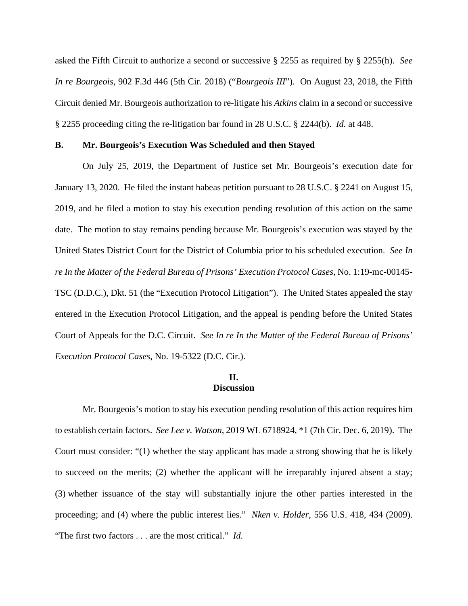asked the Fifth Circuit to authorize a second or successive § 2255 as required by § 2255(h). *See In re Bourgeois*, 902 F.3d 446 (5th Cir. 2018) ("*Bourgeois III*"). On August 23, 2018, the Fifth Circuit denied Mr. Bourgeois authorization to re-litigate his *Atkins* claim in a second or successive § 2255 proceeding citing the re-litigation bar found in 28 U.S.C. § 2244(b). *Id.* at 448.

### **B. Mr. Bourgeois's Execution Was Scheduled and then Stayed**

On July 25, 2019, the Department of Justice set Mr. Bourgeois's execution date for January 13, 2020. He filed the instant habeas petition pursuant to 28 U.S.C. § 2241 on August 15, 2019, and he filed a motion to stay his execution pending resolution of this action on the same date. The motion to stay remains pending because Mr. Bourgeois's execution was stayed by the United States District Court for the District of Columbia prior to his scheduled execution. *See In re In the Matter of the Federal Bureau of Prisons' Execution Protocol Cases*, No. 1:19-mc-00145- TSC (D.D.C.), Dkt. 51 (the "Execution Protocol Litigation"). The United States appealed the stay entered in the Execution Protocol Litigation, and the appeal is pending before the United States Court of Appeals for the D.C. Circuit. *See In re In the Matter of the Federal Bureau of Prisons' Execution Protocol Cases*, No. 19-5322 (D.C. Cir.).

## **II. Discussion**

Mr. Bourgeois's motion to stay his execution pending resolution of this action requires him to establish certain factors. *See Lee v. Watson*, 2019 WL 6718924, \*1 (7th Cir. Dec. 6, 2019). The Court must consider: "(1) whether the stay applicant has made a strong showing that he is likely to succeed on the merits; (2) whether the applicant will be irreparably injured absent a stay; (3) whether issuance of the stay will substantially injure the other parties interested in the proceeding; and (4) where the public interest lies." *Nken v. Holder*, 556 U.S. 418, 434 (2009). "The first two factors . . . are the most critical." *Id.*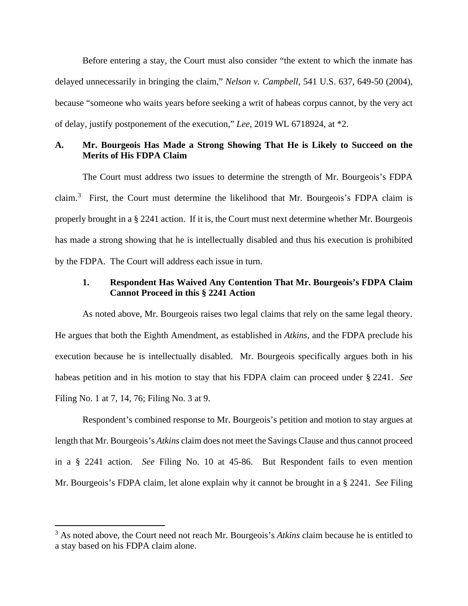Before entering a stay, the Court must also consider "the extent to which the inmate has delayed unnecessarily in bringing the claim," *Nelson v. Campbell*, 541 U.S. 637, 649-50 (2004), because "someone who waits years before seeking a writ of habeas corpus cannot, by the very act of delay, justify postponement of the execution," *Lee*, 2019 WL 6718924, at \*2.

# **A. Mr. Bourgeois Has Made a Strong Showing That He is Likely to Succeed on the Merits of His FDPA Claim**

The Court must address two issues to determine the strength of Mr. Bourgeois's FDPA claim.<sup>[3](#page-4-0)</sup> First, the Court must determine the likelihood that Mr. Bourgeois's FDPA claim is properly brought in a § 2241 action. If it is, the Court must next determine whether Mr. Bourgeois has made a strong showing that he is intellectually disabled and thus his execution is prohibited by the FDPA. The Court will address each issue in turn.

# **1. Respondent Has Waived Any Contention That Mr. Bourgeois's FDPA Claim Cannot Proceed in this § 2241 Action**

As noted above, Mr. Bourgeois raises two legal claims that rely on the same legal theory. He argues that both the Eighth Amendment, as established in *Atkins*, and the FDPA preclude his execution because he is intellectually disabled. Mr. Bourgeois specifically argues both in his habeas petition and in his motion to stay that his FDPA claim can proceed under § 2241. *See*  Filing No. 1 at 7, 14, 76; Filing No. 3 at 9.

 Respondent's combined response to Mr. Bourgeois's petition and motion to stay argues at length that Mr. Bourgeois's *Atkins* claim does not meet the Savings Clause and thus cannot proceed in a § 2241 action. *See* Filing No. 10 at 45-86. But Respondent fails to even mention Mr. Bourgeois's FDPA claim, let alone explain why it cannot be brought in a § 2241. *See* Filing

<span id="page-4-0"></span><sup>&</sup>lt;sup>3</sup> As noted above, the Court need not reach Mr. Bourgeois's *Atkins* claim because he is entitled to a stay based on his FDPA claim alone.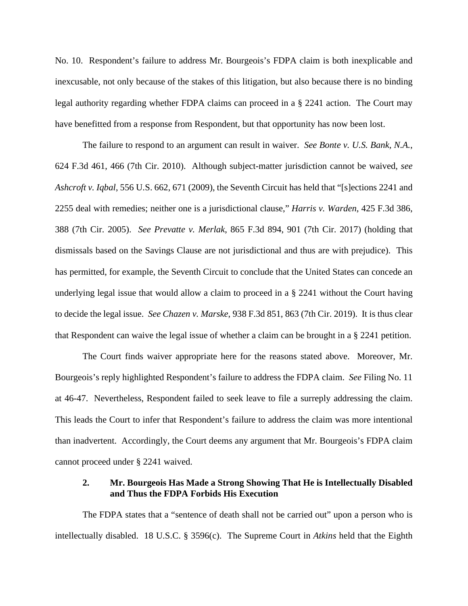No. 10. Respondent's failure to address Mr. Bourgeois's FDPA claim is both inexplicable and inexcusable, not only because of the stakes of this litigation, but also because there is no binding legal authority regarding whether FDPA claims can proceed in a § 2241 action. The Court may have benefitted from a response from Respondent, but that opportunity has now been lost.

The failure to respond to an argument can result in waiver. *See Bonte v. U.S. Bank, N.A.*, 624 F.3d 461, 466 (7th Cir. 2010). Although subject-matter jurisdiction cannot be waived, *see Ashcroft v. Iqbal*, 556 U.S. 662, 671 (2009), the Seventh Circuit has held that "[s]ections 2241 and 2255 deal with remedies; neither one is a jurisdictional clause," *Harris v. Warden*, 425 F.3d 386, 388 (7th Cir. 2005). *See Prevatte v. Merlak*, 865 F.3d 894, 901 (7th Cir. 2017) (holding that dismissals based on the Savings Clause are not jurisdictional and thus are with prejudice). This has permitted, for example, the Seventh Circuit to conclude that the United States can concede an underlying legal issue that would allow a claim to proceed in a § 2241 without the Court having to decide the legal issue. *See Chazen v. Marske*, 938 F.3d 851, 863 (7th Cir. 2019).It is thus clear that Respondent can waive the legal issue of whether a claim can be brought in a § 2241 petition.

The Court finds waiver appropriate here for the reasons stated above. Moreover, Mr. Bourgeois's reply highlighted Respondent's failure to address the FDPA claim. *See* Filing No. 11 at 46-47. Nevertheless, Respondent failed to seek leave to file a surreply addressing the claim. This leads the Court to infer that Respondent's failure to address the claim was more intentional than inadvertent. Accordingly, the Court deems any argument that Mr. Bourgeois's FDPA claim cannot proceed under § 2241 waived.

## **2. Mr. Bourgeois Has Made a Strong Showing That He is Intellectually Disabled and Thus the FDPA Forbids His Execution**

The FDPA states that a "sentence of death shall not be carried out" upon a person who is intellectually disabled. 18 U.S.C. § 3596(c). The Supreme Court in *Atkins* held that the Eighth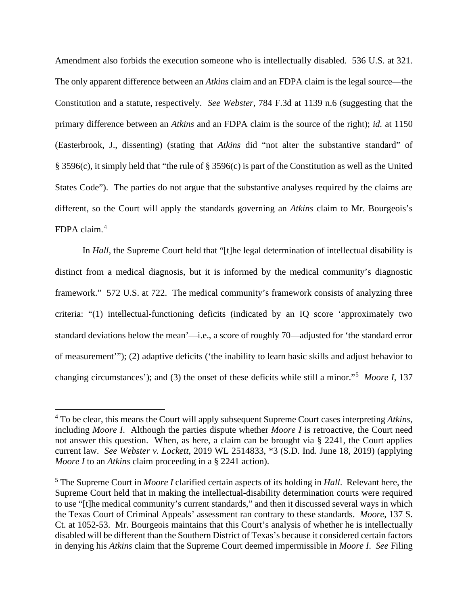Amendment also forbids the execution someone who is intellectually disabled. 536 U.S. at 321. The only apparent difference between an *Atkins* claim and an FDPA claim is the legal source—the Constitution and a statute, respectively. *See Webster*, 784 F.3d at 1139 n.6 (suggesting that the primary difference between an *Atkins* and an FDPA claim is the source of the right); *id.* at 1150 (Easterbrook, J., dissenting) (stating that *Atkins* did "not alter the substantive standard" of § 3596(c), it simply held that "the rule of § 3596(c) is part of the Constitution as well as the United States Code"). The parties do not argue that the substantive analyses required by the claims are different, so the Court will apply the standards governing an *Atkins* claim to Mr. Bourgeois's FDPA claim.[4](#page-6-0)

In *Hall*, the Supreme Court held that "[t]he legal determination of intellectual disability is distinct from a medical diagnosis, but it is informed by the medical community's diagnostic framework." 572 U.S. at 722. The medical community's framework consists of analyzing three criteria: "(1) intellectual-functioning deficits (indicated by an IQ score 'approximately two standard deviations below the mean'—i.e., a score of roughly 70—adjusted for 'the standard error of measurement'"); (2) adaptive deficits ('the inability to learn basic skills and adjust behavior to changing circumstances'); and (3) the onset of these deficits while still a minor."[5](#page-6-1) *Moore I*, 137

<span id="page-6-0"></span><sup>4</sup> To be clear, this means the Court will apply subsequent Supreme Court cases interpreting *Atkins*, including *Moore I*. Although the parties dispute whether *Moore I* is retroactive, the Court need not answer this question. When, as here, a claim can be brought via § 2241, the Court applies current law. *See Webster v. Lockett*, 2019 WL 2514833, \*3 (S.D. Ind. June 18, 2019) (applying *Moore I* to an *Atkins* claim proceeding in a § 2241 action).

<span id="page-6-1"></span><sup>5</sup> The Supreme Court in *Moore I* clarified certain aspects of its holding in *Hall*. Relevant here, the Supreme Court held that in making the intellectual-disability determination courts were required to use "[t]he medical community's current standards," and then it discussed several ways in which the Texas Court of Criminal Appeals' assessment ran contrary to these standards. *Moore*, 137 S. Ct. at 1052-53. Mr. Bourgeois maintains that this Court's analysis of whether he is intellectually disabled will be different than the Southern District of Texas's because it considered certain factors in denying his *Atkins* claim that the Supreme Court deemed impermissible in *Moore I*. *See* Filing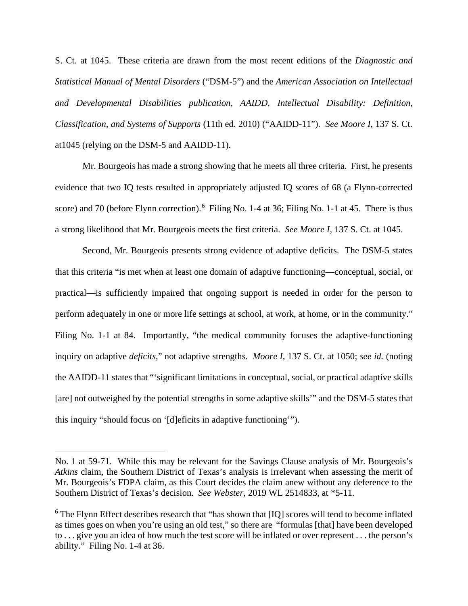S. Ct. at 1045. These criteria are drawn from the most recent editions of the *Diagnostic and Statistical Manual of Mental Disorders* ("DSM-5") and the *American Association on Intellectual and Developmental Disabilities publication, AAIDD, Intellectual Disability: Definition, Classification, and Systems of Supports* (11th ed. 2010) ("AAIDD-11"). *See Moore I*, 137 S. Ct. at1045 (relying on the DSM-5 and AAIDD-11).

Mr. Bourgeois has made a strong showing that he meets all three criteria. First, he presents evidence that two IQ tests resulted in appropriately adjusted IQ scores of 68 (a Flynn-corrected score) and 70 (before Flynn correction).<sup>[6](#page-7-0)</sup> Filing No. 1-4 at 36; Filing No. 1-1 at 45. There is thus a strong likelihood that Mr. Bourgeois meets the first criteria. *See Moore I*, 137 S. Ct. at 1045.

Second, Mr. Bourgeois presents strong evidence of adaptive deficits. The DSM-5 states that this criteria "is met when at least one domain of adaptive functioning—conceptual, social, or practical—is sufficiently impaired that ongoing support is needed in order for the person to perform adequately in one or more life settings at school, at work, at home, or in the community." Filing No. 1-1 at 84. Importantly, "the medical community focuses the adaptive-functioning inquiry on adaptive *deficits*," not adaptive strengths. *Moore I*, 137 S. Ct. at 1050; *see id.* (noting the AAIDD-11 states that "'significant limitations in conceptual, social, or practical adaptive skills [are] not outweighed by the potential strengths in some adaptive skills'" and the DSM-5 states that this inquiry "should focus on '[d]eficits in adaptive functioning'").

No. 1 at 59-71. While this may be relevant for the Savings Clause analysis of Mr. Bourgeois's *Atkins* claim, the Southern District of Texas's analysis is irrelevant when assessing the merit of Mr. Bourgeois's FDPA claim, as this Court decides the claim anew without any deference to the Southern District of Texas's decision. *See Webster*, 2019 WL 2514833, at \*5-11.

<span id="page-7-0"></span><sup>&</sup>lt;sup>6</sup> The Flynn Effect describes research that "has shown that [IQ] scores will tend to become inflated as times goes on when you're using an old test," so there are "formulas [that] have been developed to . . . give you an idea of how much the test score will be inflated or over represent . . . the person's ability." Filing No. 1-4 at 36.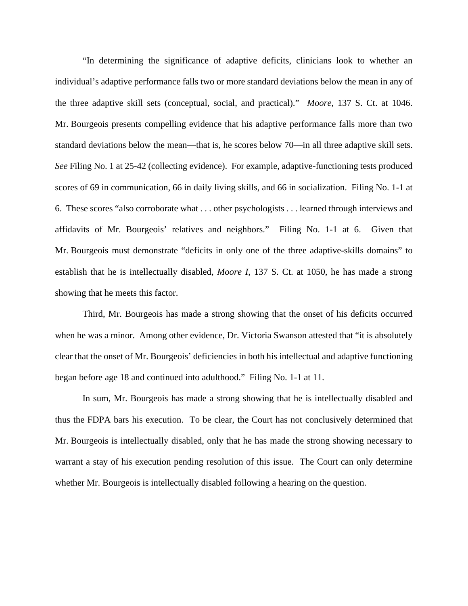"In determining the significance of adaptive deficits, clinicians look to whether an individual's adaptive performance falls two or more standard deviations below the mean in any of the three adaptive skill sets (conceptual, social, and practical)." *Moore*, 137 S. Ct. at 1046. Mr. Bourgeois presents compelling evidence that his adaptive performance falls more than two standard deviations below the mean—that is, he scores below 70—in all three adaptive skill sets. *See* Filing No. 1 at 25-42 (collecting evidence). For example, adaptive-functioning tests produced scores of 69 in communication, 66 in daily living skills, and 66 in socialization. Filing No. 1-1 at 6. These scores "also corroborate what . . . other psychologists . . . learned through interviews and affidavits of Mr. Bourgeois' relatives and neighbors." Filing No. 1-1 at 6. Given that Mr. Bourgeois must demonstrate "deficits in only one of the three adaptive-skills domains" to establish that he is intellectually disabled, *Moore I*, 137 S. Ct. at 1050, he has made a strong showing that he meets this factor.

Third, Mr. Bourgeois has made a strong showing that the onset of his deficits occurred when he was a minor. Among other evidence, Dr. Victoria Swanson attested that "it is absolutely clear that the onset of Mr. Bourgeois' deficiencies in both his intellectual and adaptive functioning began before age 18 and continued into adulthood." Filing No. 1-1 at 11.

In sum, Mr. Bourgeois has made a strong showing that he is intellectually disabled and thus the FDPA bars his execution. To be clear, the Court has not conclusively determined that Mr. Bourgeois is intellectually disabled, only that he has made the strong showing necessary to warrant a stay of his execution pending resolution of this issue. The Court can only determine whether Mr. Bourgeois is intellectually disabled following a hearing on the question.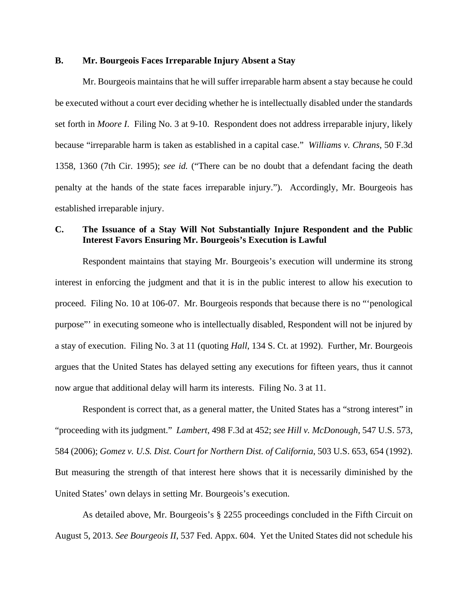## **B. Mr. Bourgeois Faces Irreparable Injury Absent a Stay**

Mr. Bourgeois maintains that he will suffer irreparable harm absent a stay because he could be executed without a court ever deciding whether he is intellectually disabled under the standards set forth in *Moore I*. Filing No. 3 at 9-10. Respondent does not address irreparable injury, likely because "irreparable harm is taken as established in a capital case." *Williams v. Chrans*, 50 F.3d 1358, 1360 (7th Cir. 1995); *see id.* ("There can be no doubt that a defendant facing the death penalty at the hands of the state faces irreparable injury."). Accordingly, Mr. Bourgeois has established irreparable injury.

# **C. The Issuance of a Stay Will Not Substantially Injure Respondent and the Public Interest Favors Ensuring Mr. Bourgeois's Execution is Lawful**

Respondent maintains that staying Mr. Bourgeois's execution will undermine its strong interest in enforcing the judgment and that it is in the public interest to allow his execution to proceed. Filing No. 10 at 106-07. Mr. Bourgeois responds that because there is no "'penological purpose"' in executing someone who is intellectually disabled, Respondent will not be injured by a stay of execution. Filing No. 3 at 11 (quoting *Hall*, 134 S. Ct. at 1992). Further, Mr. Bourgeois argues that the United States has delayed setting any executions for fifteen years, thus it cannot now argue that additional delay will harm its interests. Filing No. 3 at 11.

Respondent is correct that, as a general matter, the United States has a "strong interest" in "proceeding with its judgment." *Lambert*, 498 F.3d at 452; *see Hill v. McDonough*, 547 U.S. 573, 584 (2006); *Gomez v. U.S. Dist. Court for Northern Dist. of California*, 503 U.S. 653, 654 (1992). But measuring the strength of that interest here shows that it is necessarily diminished by the United States' own delays in setting Mr. Bourgeois's execution.

As detailed above, Mr. Bourgeois's § 2255 proceedings concluded in the Fifth Circuit on August 5, 2013. *See Bourgeois II*, 537 Fed. Appx. 604. Yet the United States did not schedule his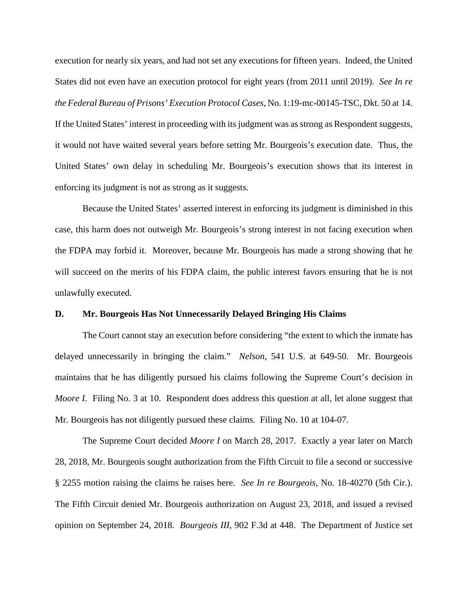execution for nearly six years, and had not set any executions for fifteen years. Indeed, the United States did not even have an execution protocol for eight years (from 2011 until 2019). *See In re the Federal Bureau of Prisons' Execution Protocol Cases*, No. 1:19-mc-00145-TSC, Dkt. 50 at 14. If the United States' interest in proceeding with its judgment was as strong as Respondent suggests, it would not have waited several years before setting Mr. Bourgeois's execution date. Thus, the United States' own delay in scheduling Mr. Bourgeois's execution shows that its interest in enforcing its judgment is not as strong as it suggests.

Because the United States' asserted interest in enforcing its judgment is diminished in this case, this harm does not outweigh Mr. Bourgeois's strong interest in not facing execution when the FDPA may forbid it. Moreover, because Mr. Bourgeois has made a strong showing that he will succeed on the merits of his FDPA claim, the public interest favors ensuring that he is not unlawfully executed.

### **D. Mr. Bourgeois Has Not Unnecessarily Delayed Bringing His Claims**

The Court cannot stay an execution before considering "the extent to which the inmate has delayed unnecessarily in bringing the claim." *Nelson*, 541 U.S. at 649-50. Mr. Bourgeois maintains that he has diligently pursued his claims following the Supreme Court's decision in *Moore I.* Filing No. 3 at 10. Respondent does address this question at all, let alone suggest that Mr. Bourgeois has not diligently pursued these claims. Filing No. 10 at 104-07.

The Supreme Court decided *Moore I* on March 28, 2017. Exactly a year later on March 28, 2018, Mr. Bourgeois sought authorization from the Fifth Circuit to file a second or successive § 2255 motion raising the claims he raises here. *See In re Bourgeois*, No. 18-40270 (5th Cir.). The Fifth Circuit denied Mr. Bourgeois authorization on August 23, 2018, and issued a revised opinion on September 24, 2018. *Bourgeois III*, 902 F.3d at 448. The Department of Justice set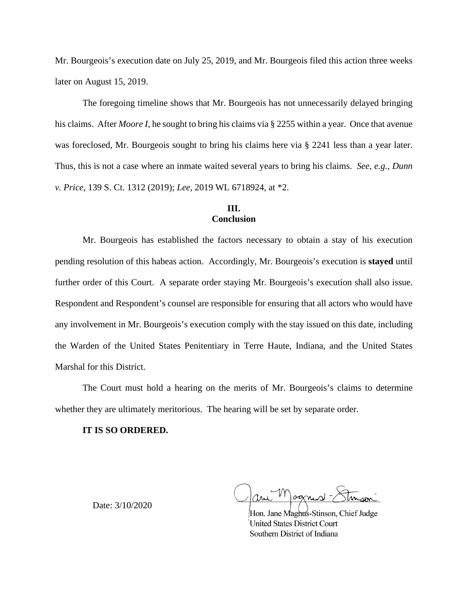Mr. Bourgeois's execution date on July 25, 2019, and Mr. Bourgeois filed this action three weeks later on August 15, 2019.

The foregoing timeline shows that Mr. Bourgeois has not unnecessarily delayed bringing his claims. After *Moore I*, he sought to bring his claims via § 2255 within a year. Once that avenue was foreclosed, Mr. Bourgeois sought to bring his claims here via § 2241 less than a year later. Thus, this is not a case where an inmate waited several years to bring his claims. *See, e.g.*, *Dunn v. Price*, 139 S. Ct. 1312 (2019); *Lee*, 2019 WL 6718924, at \*2.

## **III. Conclusion**

Mr. Bourgeois has established the factors necessary to obtain a stay of his execution pending resolution of this habeas action. Accordingly, Mr. Bourgeois's execution is **stayed** until further order of this Court. A separate order staying Mr. Bourgeois's execution shall also issue. Respondent and Respondent's counsel are responsible for ensuring that all actors who would have any involvement in Mr. Bourgeois's execution comply with the stay issued on this date, including the Warden of the United States Penitentiary in Terre Haute, Indiana, and the United States Marshal for this District.

The Court must hold a hearing on the merits of Mr. Bourgeois's claims to determine whether they are ultimately meritorious. The hearing will be set by separate order.

### **IT IS SO ORDERED.**

Date: 3/10/2020

ognist

Hon. Jane Maghus-Stinson, Chief Judge United States District Court Southern District of Indiana